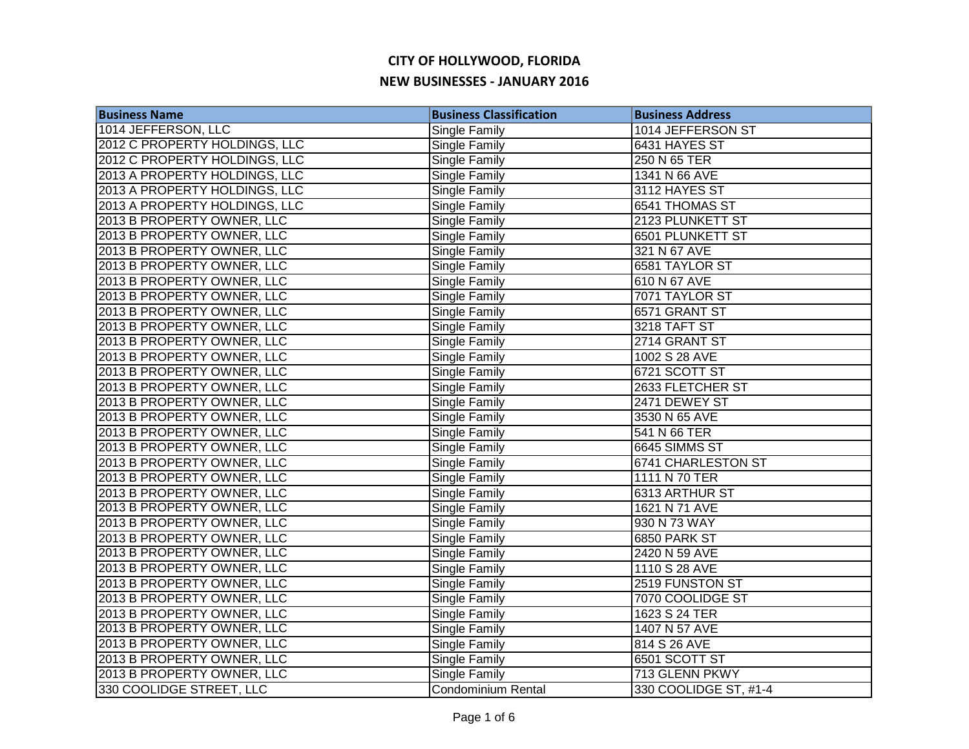| <b>Business Name</b>          | <b>Business Classification</b> | <b>Business Address</b> |
|-------------------------------|--------------------------------|-------------------------|
| 1014 JEFFERSON, LLC           | <b>Single Family</b>           | 1014 JEFFERSON ST       |
| 2012 C PROPERTY HOLDINGS, LLC | Single Family                  | 6431 HAYES ST           |
| 2012 C PROPERTY HOLDINGS, LLC | <b>Single Family</b>           | 250 N 65 TER            |
| 2013 A PROPERTY HOLDINGS, LLC | Single Family                  | 1341 N 66 AVE           |
| 2013 A PROPERTY HOLDINGS, LLC | Single Family                  | 3112 HAYES ST           |
| 2013 A PROPERTY HOLDINGS, LLC | <b>Single Family</b>           | 6541 THOMAS ST          |
| 2013 B PROPERTY OWNER, LLC    | Single Family                  | 2123 PLUNKETT ST        |
| 2013 B PROPERTY OWNER, LLC    | Single Family                  | 6501 PLUNKETT ST        |
| 2013 B PROPERTY OWNER, LLC    | Single Family                  | 321 N 67 AVE            |
| 2013 B PROPERTY OWNER, LLC    | Single Family                  | 6581 TAYLOR ST          |
| 2013 B PROPERTY OWNER, LLC    | Single Family                  | 610 N 67 AVE            |
| 2013 B PROPERTY OWNER, LLC    | Single Family                  | 7071 TAYLOR ST          |
| 2013 B PROPERTY OWNER, LLC    | Single Family                  | 6571 GRANT ST           |
| 2013 B PROPERTY OWNER, LLC    | Single Family                  | 3218 TAFT ST            |
| 2013 B PROPERTY OWNER, LLC    | Single Family                  | 2714 GRANT ST           |
| 2013 B PROPERTY OWNER, LLC    | Single Family                  | 1002 S 28 AVE           |
| 2013 B PROPERTY OWNER, LLC    | <b>Single Family</b>           | 6721 SCOTT ST           |
| 2013 B PROPERTY OWNER, LLC    | <b>Single Family</b>           | 2633 FLETCHER ST        |
| 2013 B PROPERTY OWNER, LLC    | <b>Single Family</b>           | 2471 DEWEY ST           |
| 2013 B PROPERTY OWNER, LLC    | Single Family                  | 3530 N 65 AVE           |
| 2013 B PROPERTY OWNER, LLC    | <b>Single Family</b>           | 541 N 66 TER            |
| 2013 B PROPERTY OWNER, LLC    | Single Family                  | 6645 SIMMS ST           |
| 2013 B PROPERTY OWNER, LLC    | Single Family                  | 6741 CHARLESTON ST      |
| 2013 B PROPERTY OWNER, LLC    | Single Family                  | 1111 N 70 TER           |
| 2013 B PROPERTY OWNER, LLC    | Single Family                  | 6313 ARTHUR ST          |
| 2013 B PROPERTY OWNER, LLC    | <b>Single Family</b>           | 1621 N 71 AVE           |
| 2013 B PROPERTY OWNER, LLC    | <b>Single Family</b>           | 930 N 73 WAY            |
| 2013 B PROPERTY OWNER, LLC    | Single Family                  | 6850 PARK ST            |
| 2013 B PROPERTY OWNER, LLC    | <b>Single Family</b>           | 2420 N 59 AVE           |
| 2013 B PROPERTY OWNER, LLC    | Single Family                  | 1110 S 28 AVE           |
| 2013 B PROPERTY OWNER, LLC    | Single Family                  | 2519 FUNSTON ST         |
| 2013 B PROPERTY OWNER, LLC    | Single Family                  | 7070 COOLIDGE ST        |
| 2013 B PROPERTY OWNER, LLC    | Single Family                  | 1623 S 24 TER           |
| 2013 B PROPERTY OWNER, LLC    | Single Family                  | 1407 N 57 AVE           |
| 2013 B PROPERTY OWNER, LLC    | Single Family                  | 814 S 26 AVE            |
| 2013 B PROPERTY OWNER, LLC    | Single Family                  | 6501 SCOTT ST           |
| 2013 B PROPERTY OWNER, LLC    | Single Family                  | 713 GLENN PKWY          |
| 330 COOLIDGE STREET, LLC      | <b>Condominium Rental</b>      | 330 COOLIDGE ST, #1-4   |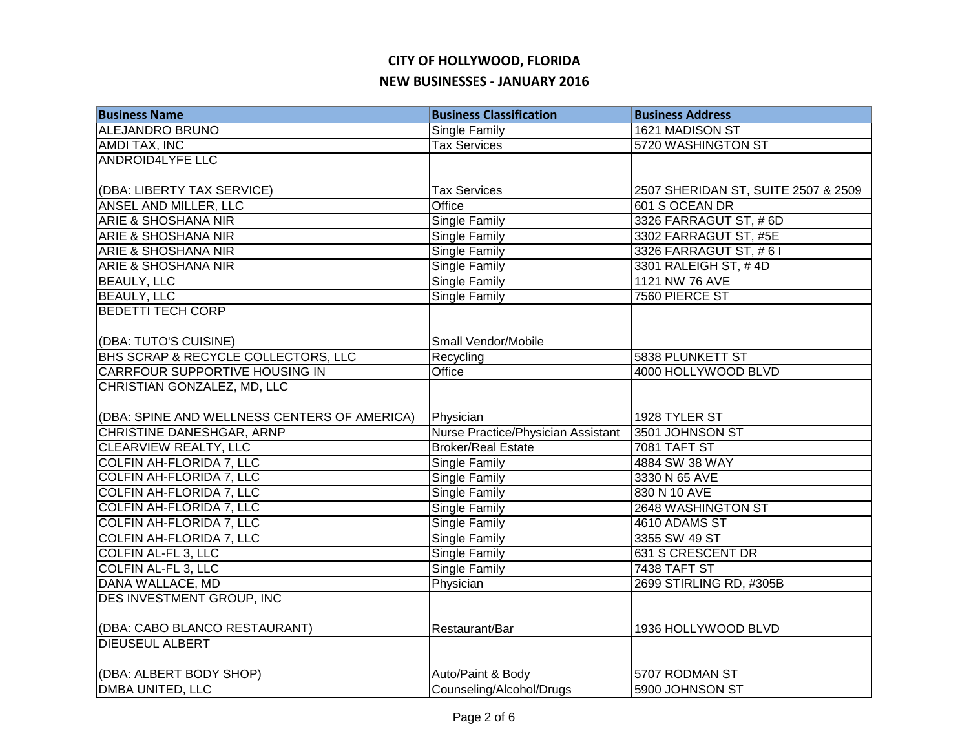| <b>Business Name</b>                         | <b>Business Classification</b>     | <b>Business Address</b>             |
|----------------------------------------------|------------------------------------|-------------------------------------|
| <b>ALEJANDRO BRUNO</b>                       | Single Family                      | 1621 MADISON ST                     |
| <b>AMDI TAX, INC</b>                         | <b>Tax Services</b>                | 5720 WASHINGTON ST                  |
| <b>ANDROID4LYFE LLC</b>                      |                                    |                                     |
|                                              |                                    |                                     |
| (DBA: LIBERTY TAX SERVICE)                   | <b>Tax Services</b>                | 2507 SHERIDAN ST, SUITE 2507 & 2509 |
| ANSEL AND MILLER, LLC                        | Office                             | 601 S OCEAN DR                      |
| <b>ARIE &amp; SHOSHANA NIR</b>               | Single Family                      | 3326 FARRAGUT ST, #6D               |
| <b>ARIE &amp; SHOSHANA NIR</b>               | Single Family                      | 3302 FARRAGUT ST, #5E               |
| <b>ARIE &amp; SHOSHANA NIR</b>               | Single Family                      | 3326 FARRAGUT ST, #61               |
| <b>ARIE &amp; SHOSHANA NIR</b>               | Single Family                      | 3301 RALEIGH ST, #4D                |
| <b>BEAULY, LLC</b>                           | Single Family                      | 1121 NW 76 AVE                      |
| <b>BEAULY, LLC</b>                           | Single Family                      | 7560 PIERCE ST                      |
| <b>BEDETTI TECH CORP</b>                     |                                    |                                     |
|                                              |                                    |                                     |
| (DBA: TUTO'S CUISINE)                        | Small Vendor/Mobile                |                                     |
| BHS SCRAP & RECYCLE COLLECTORS, LLC          | Recycling                          | 5838 PLUNKETT ST                    |
| <b>CARRFOUR SUPPORTIVE HOUSING IN</b>        | <b>Office</b>                      | 4000 HOLLYWOOD BLVD                 |
| CHRISTIAN GONZALEZ, MD, LLC                  |                                    |                                     |
|                                              |                                    |                                     |
| (DBA: SPINE AND WELLNESS CENTERS OF AMERICA) | Physician                          | 1928 TYLER ST                       |
| <b>CHRISTINE DANESHGAR, ARNP</b>             | Nurse Practice/Physician Assistant | 3501 JOHNSON ST                     |
| <b>CLEARVIEW REALTY, LLC</b>                 | <b>Broker/Real Estate</b>          | <b>7081 TAFT ST</b>                 |
| <b>COLFIN AH-FLORIDA 7, LLC</b>              | <b>Single Family</b>               | 4884 SW 38 WAY                      |
| <b>COLFIN AH-FLORIDA 7, LLC</b>              | Single Family                      | 3330 N 65 AVE                       |
| <b>COLFIN AH-FLORIDA 7, LLC</b>              | <b>Single Family</b>               | 830 N 10 AVE                        |
| <b>COLFIN AH-FLORIDA 7, LLC</b>              | Single Family                      | 2648 WASHINGTON ST                  |
| <b>COLFIN AH-FLORIDA 7, LLC</b>              | <b>Single Family</b>               | 4610 ADAMS ST                       |
| <b>COLFIN AH-FLORIDA 7, LLC</b>              | <b>Single Family</b>               | 3355 SW 49 ST                       |
| <b>COLFIN AL-FL 3, LLC</b>                   | <b>Single Family</b>               | 631 S CRESCENT DR                   |
| <b>COLFIN AL-FL 3, LLC</b>                   | Single Family                      | 7438 TAFT ST                        |
| DANA WALLACE, MD                             | Physician                          | 2699 STIRLING RD, #305B             |
| DES INVESTMENT GROUP, INC                    |                                    |                                     |
|                                              |                                    |                                     |
| (DBA: CABO BLANCO RESTAURANT)                | Restaurant/Bar                     | 1936 HOLLYWOOD BLVD                 |
| <b>DIEUSEUL ALBERT</b>                       |                                    |                                     |
|                                              |                                    |                                     |
| (DBA: ALBERT BODY SHOP)                      | Auto/Paint & Body                  | 5707 RODMAN ST                      |
| <b>DMBA UNITED, LLC</b>                      | Counseling/Alcohol/Drugs           | 5900 JOHNSON ST                     |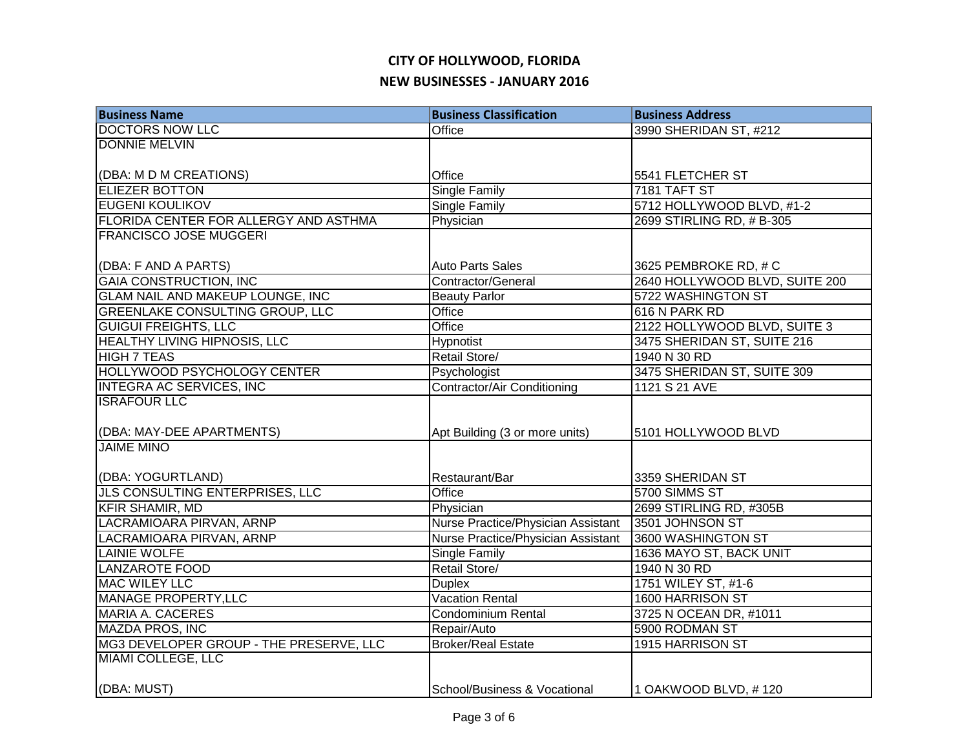| <b>Business Name</b>                    | <b>Business Classification</b>     | <b>Business Address</b>        |
|-----------------------------------------|------------------------------------|--------------------------------|
| <b>DOCTORS NOW LLC</b>                  | Office                             | 3990 SHERIDAN ST, #212         |
| <b>DONNIE MELVIN</b>                    |                                    |                                |
|                                         |                                    |                                |
| (DBA: M D M CREATIONS)                  | Office                             | 5541 FLETCHER ST               |
| <b>ELIEZER BOTTON</b>                   | <b>Single Family</b>               | 7181 TAFT ST                   |
| <b>EUGENI KOULIKOV</b>                  | Single Family                      | 5712 HOLLYWOOD BLVD, #1-2      |
| FLORIDA CENTER FOR ALLERGY AND ASTHMA   | Physician                          | 2699 STIRLING RD, # B-305      |
| <b>FRANCISCO JOSE MUGGERI</b>           |                                    |                                |
|                                         |                                    |                                |
| (DBA: F AND A PARTS)                    | <b>Auto Parts Sales</b>            | 3625 PEMBROKE RD, # C          |
| <b>GAIA CONSTRUCTION, INC</b>           | Contractor/General                 | 2640 HOLLYWOOD BLVD, SUITE 200 |
| GLAM NAIL AND MAKEUP LOUNGE, INC        | <b>Beauty Parlor</b>               | 5722 WASHINGTON ST             |
| <b>GREENLAKE CONSULTING GROUP, LLC</b>  | <b>Office</b>                      | 616 N PARK RD                  |
| <b>GUIGUI FREIGHTS, LLC</b>             | Office                             | 2122 HOLLYWOOD BLVD, SUITE 3   |
| <b>HEALTHY LIVING HIPNOSIS, LLC</b>     | <b>Hypnotist</b>                   | 3475 SHERIDAN ST, SUITE 216    |
| <b>HIGH 7 TEAS</b>                      | Retail Store/                      | 1940 N 30 RD                   |
| <b>HOLLYWOOD PSYCHOLOGY CENTER</b>      | Psychologist                       | 3475 SHERIDAN ST, SUITE 309    |
| <b>INTEGRA AC SERVICES, INC</b>         | <b>Contractor/Air Conditioning</b> | 1121 S 21 AVE                  |
| <b>ISRAFOUR LLC</b>                     |                                    |                                |
|                                         |                                    |                                |
| (DBA: MAY-DEE APARTMENTS)               | Apt Building (3 or more units)     | 5101 HOLLYWOOD BLVD            |
| <b>JAIME MINO</b>                       |                                    |                                |
|                                         |                                    |                                |
| (DBA: YOGURTLAND)                       | Restaurant/Bar                     | 3359 SHERIDAN ST               |
| JLS CONSULTING ENTERPRISES, LLC         | Office                             | 5700 SIMMS ST                  |
| <b>KFIR SHAMIR, MD</b>                  | Physician                          | 2699 STIRLING RD, #305B        |
| LACRAMIOARA PIRVAN, ARNP                | Nurse Practice/Physician Assistant | 3501 JOHNSON ST                |
| LACRAMIOARA PIRVAN, ARNP                | Nurse Practice/Physician Assistant | 3600 WASHINGTON ST             |
| <b>LAINIE WOLFE</b>                     | <b>Single Family</b>               | 1636 MAYO ST, BACK UNIT        |
| <b>LANZAROTE FOOD</b>                   | Retail Store/                      | 1940 N 30 RD                   |
| <b>MAC WILEY LLC</b>                    | <b>Duplex</b>                      | 1751 WILEY ST, #1-6            |
| <b>MANAGE PROPERTY, LLC</b>             | Vacation Rental                    | 1600 HARRISON ST               |
| <b>MARIA A. CACERES</b>                 | <b>Condominium Rental</b>          | 3725 N OCEAN DR, #1011         |
| <b>MAZDA PROS, INC</b>                  | Repair/Auto                        | 5900 RODMAN ST                 |
| MG3 DEVELOPER GROUP - THE PRESERVE, LLC | <b>Broker/Real Estate</b>          | 1915 HARRISON ST               |
| <b>MIAMI COLLEGE, LLC</b>               |                                    |                                |
|                                         |                                    |                                |
| (DBA: MUST)                             | School/Business & Vocational       | 1 OAKWOOD BLVD, #120           |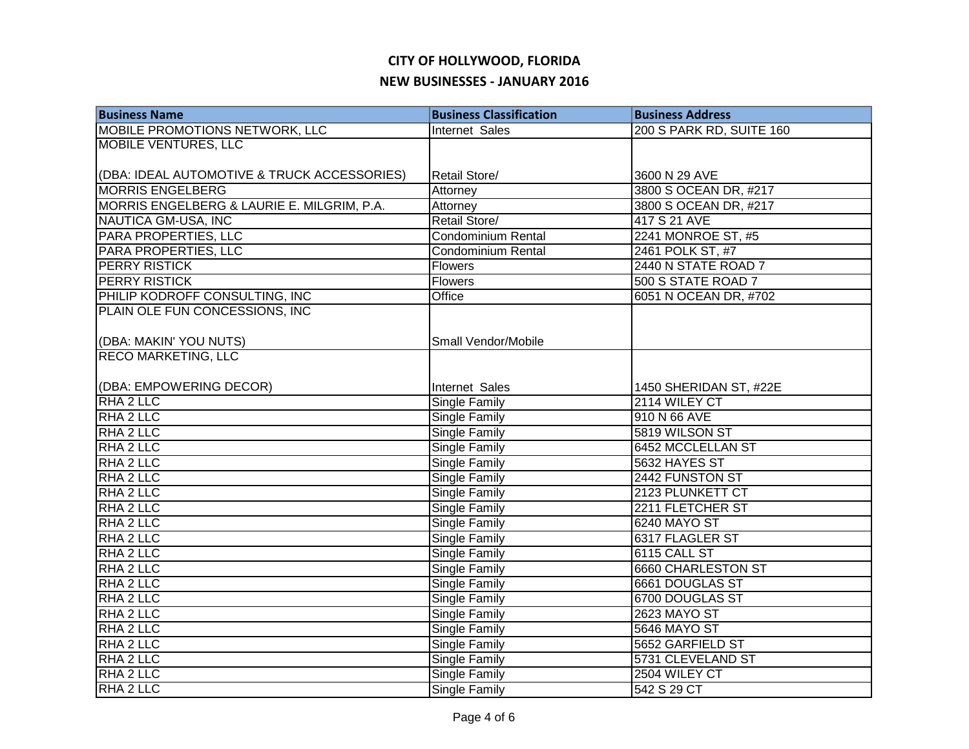| <b>Business Name</b>                        | <b>Business Classification</b> | <b>Business Address</b>  |
|---------------------------------------------|--------------------------------|--------------------------|
| <b>MOBILE PROMOTIONS NETWORK, LLC</b>       | <b>Internet Sales</b>          | 200 S PARK RD, SUITE 160 |
| <b>MOBILE VENTURES, LLC</b>                 |                                |                          |
|                                             |                                |                          |
| (DBA: IDEAL AUTOMOTIVE & TRUCK ACCESSORIES) | Retail Store/                  | 3600 N 29 AVE            |
| <b>MORRIS ENGELBERG</b>                     | Attorney                       | 3800 S OCEAN DR, #217    |
| MORRIS ENGELBERG & LAURIE E. MILGRIM, P.A.  | Attorney                       | 3800 S OCEAN DR, #217    |
| NAUTICA GM-USA, INC                         | Retail Store/                  | 417 S 21 AVE             |
| PARA PROPERTIES, LLC                        | Condominium Rental             | 2241 MONROE ST, #5       |
| PARA PROPERTIES, LLC                        | Condominium Rental             | 2461 POLK ST, #7         |
| <b>PERRY RISTICK</b>                        | Flowers                        | 2440 N STATE ROAD 7      |
| <b>PERRY RISTICK</b>                        | Flowers                        | 500 S STATE ROAD 7       |
| PHILIP KODROFF CONSULTING, INC              | Office                         | 6051 N OCEAN DR, #702    |
| PLAIN OLE FUN CONCESSIONS, INC              |                                |                          |
|                                             |                                |                          |
| (DBA: MAKIN' YOU NUTS)                      | Small Vendor/Mobile            |                          |
| <b>RECO MARKETING, LLC</b>                  |                                |                          |
|                                             |                                |                          |
| (DBA: EMPOWERING DECOR)                     | Internet Sales                 | 1450 SHERIDAN ST, #22E   |
| RHA 2 LLC                                   | <b>Single Family</b>           | 2114 WILEY CT            |
| RHA 2 LLC                                   | <b>Single Family</b>           | 910 N 66 AVE             |
| RHA 2 LLC                                   | Single Family                  | 5819 WILSON ST           |
| RHA 2 LLC                                   | <b>Single Family</b>           | <b>6452 MCCLELLAN ST</b> |
| RHA 2 LLC                                   | <b>Single Family</b>           | 5632 HAYES ST            |
| RHA 2 LLC                                   | Single Family                  | 2442 FUNSTON ST          |
| RHA 2 LLC                                   | <b>Single Family</b>           | 2123 PLUNKETT CT         |
| RHA 2 LLC                                   | <b>Single Family</b>           | 2211 FLETCHER ST         |
| RHA 2 LLC                                   | <b>Single Family</b>           | 6240 MAYO ST             |
| RHA 2 LLC                                   | <b>Single Family</b>           | 6317 FLAGLER ST          |
| RHA 2 LLC                                   | <b>Single Family</b>           | 6115 CALL ST             |
| RHA 2 LLC                                   | Single Family                  | 6660 CHARLESTON ST       |
| RHA <sub>2</sub> LLC                        | Single Family                  | 6661 DOUGLAS ST          |
| RHA 2 LLC                                   | Single Family                  | 6700 DOUGLAS ST          |
| RHA <sub>2</sub> LLC                        | Single Family                  | 2623 MAYO ST             |
| RHA <sub>2</sub> LLC                        | Single Family                  | 5646 MAYO ST             |
| RHA 2 LLC                                   | Single Family                  | 5652 GARFIELD ST         |
| RHA 2 LLC                                   | Single Family                  | 5731 CLEVELAND ST        |
| RHA 2 LLC                                   | Single Family                  | 2504 WILEY CT            |
| RHA 2 LLC                                   | Single Family                  | 542 S 29 CT              |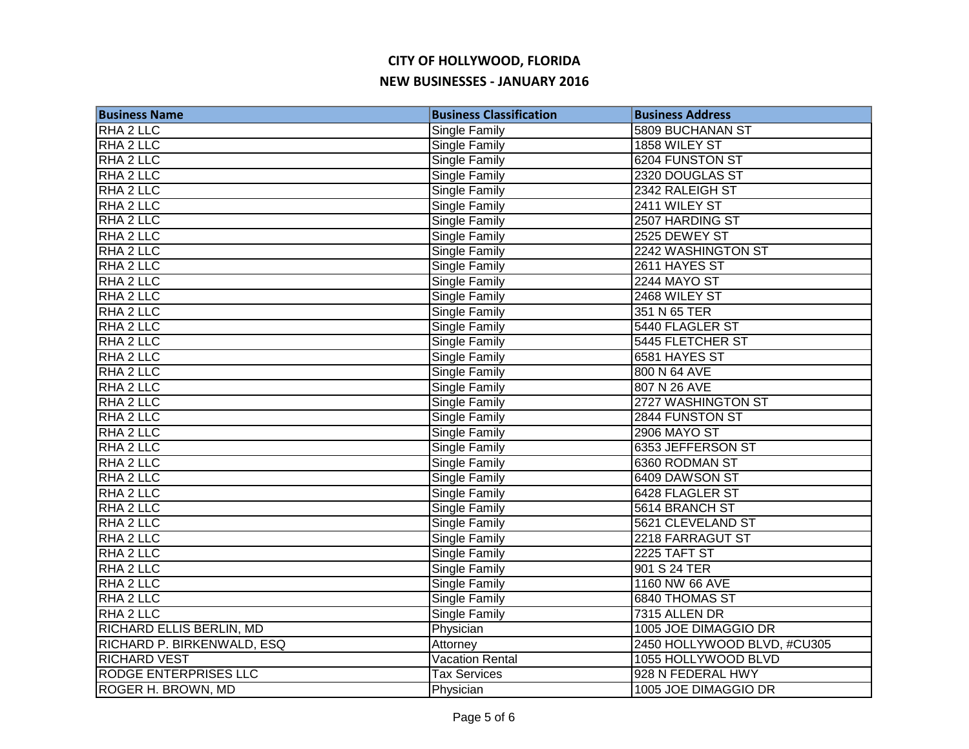| <b>Business Name</b>         | <b>Business Classification</b> | <b>Business Address</b>     |
|------------------------------|--------------------------------|-----------------------------|
| <b>RHA 2 LLC</b>             | <b>Single Family</b>           | 5809 BUCHANAN ST            |
| RHA 2 LLC                    | <b>Single Family</b>           | 1858 WILEY ST               |
| RHA 2 LLC                    | <b>Single Family</b>           | 6204 FUNSTON ST             |
| RHA 2 LLC                    | <b>Single Family</b>           | 2320 DOUGLAS ST             |
| RHA <sub>2</sub> LLC         | Single Family                  | 2342 RALEIGH ST             |
| RHA <sub>2</sub> LLC         | Single Family                  | 2411 WILEY ST               |
| RHA 2 LLC                    | Single Family                  | 2507 HARDING ST             |
| RHA 2 LLC                    | Single Family                  | 2525 DEWEY ST               |
| RHA <sub>2</sub> LLC         | Single Family                  | 2242 WASHINGTON ST          |
| RHA 2 LLC                    | Single Family                  | 2611 HAYES ST               |
| RHA 2 LLC                    | Single Family                  | 2244 MAYO ST                |
| RHA 2 LLC                    | Single Family                  | 2468 WILEY ST               |
| RHA 2 LLC                    | Single Family                  | 351 N 65 TER                |
| RHA 2 LLC                    | Single Family                  | 5440 FLAGLER ST             |
| RHA <sub>2</sub> LLC         | <b>Single Family</b>           | 5445 FLETCHER ST            |
| RHA <sub>2</sub> LLC         | <b>Single Family</b>           | 6581 HAYES ST               |
| RHA 2 LLC                    | Single Family                  | 800 N 64 AVE                |
| RHA 2 LLC                    | <b>Single Family</b>           | 807 N 26 AVE                |
| RHA 2 LLC                    | Single Family                  | 2727 WASHINGTON ST          |
| RHA 2 LLC                    | Single Family                  | 2844 FUNSTON ST             |
| RHA 2 LLC                    | <b>Single Family</b>           | <b>2906 MAYO ST</b>         |
| RHA 2 LLC                    | Single Family                  | 6353 JEFFERSON ST           |
| RHA 2 LLC                    | <b>Single Family</b>           | 6360 RODMAN ST              |
| RHA 2 LLC                    | Single Family                  | 6409 DAWSON ST              |
| RHA 2 LLC                    | <b>Single Family</b>           | 6428 FLAGLER ST             |
| RHA 2 LLC                    | <b>Single Family</b>           | 5614 BRANCH ST              |
| RHA 2 LLC                    | Single Family                  | 5621 CLEVELAND ST           |
| RHA 2 LLC                    | <b>Single Family</b>           | 2218 FARRAGUT ST            |
| RHA 2 LLC                    | Single Family                  | 2225 TAFT ST                |
| RHA <sub>2</sub> LLC         | Single Family                  | 901 S 24 TER                |
| RHA 2 LLC                    | Single Family                  | 1160 NW 66 AVE              |
| RHA 2 LLC                    | Single Family                  | 6840 THOMAS ST              |
| RHA 2 LLC                    | Single Family                  | 7315 ALLEN DR               |
| RICHARD ELLIS BERLIN, MD     | Physician                      | 1005 JOE DIMAGGIO DR        |
| RICHARD P. BIRKENWALD, ESQ   | Attorney                       | 2450 HOLLYWOOD BLVD, #CU305 |
| <b>RICHARD VEST</b>          | <b>Vacation Rental</b>         | 1055 HOLLYWOOD BLVD         |
| <b>RODGE ENTERPRISES LLC</b> | <b>Tax Services</b>            | 928 N FEDERAL HWY           |
| ROGER H. BROWN, MD           | Physician                      | 1005 JOE DIMAGGIO DR        |